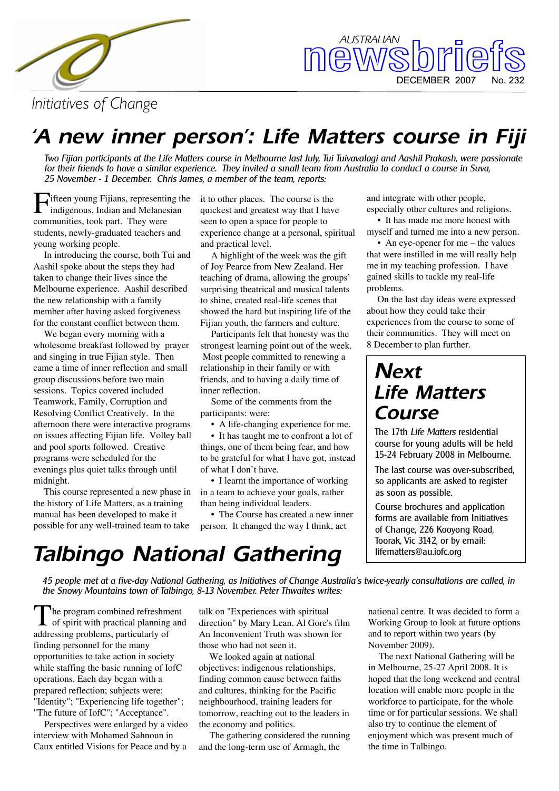



*Initiative s ofCh ange*

### *'A ne w inne r pe rson': Life Matte rs course in Fiji*

Two Fijian participants at the Life Matters course in Melbourne last July, Tui Tuivavalagi and Aashil Prakash, were passionate for their friends to have a similar experience. They invited a small team from Australia to conduct a course in Suva, 25 November - 1 December. Chris James, a member of the team, reports:

Fifteen young Fijians, representing the indigenous, Indian and Melanesian indigenous, Indian and Melanesian communities, took part. They were students, newly-graduated teachers and young working people.

In introducing the course, both Tui and Aashil spoke about the steps they had taken to change their lives since the Melbourne experience. Aashil described the new relationship with a family member after having asked forgiveness for the constant conflict between them.

We began every morning with a wholesome break fast followed by prayer and singing in true Fijian style. Then came a time of inner reflection and small group discussions before two main sessions. Topics covered included Teamwork, Family, Corruption and Resolving Conflict Creatively. In the afternoon there were interactive programs on issues affecting Fijian life. Volley ball and pool sports followed. Creative programs were scheduled for the evenings plus quiet talks through until midnight.

This course represented a new phase in the history of Life Matters, as a training manual has been developed to make it possible for any well-trained team to take

it to other places. The course is the quickest and greatest way that I have seen to open a space for people to experience change at a personal, spiritual and practical level.

A highlight of the week was the gift of Joy Pearce from New Zealand. Her teaching of drama, allowing the groups' surprising theatrical and musical talents to shine, created real-life scenes that showed the hard but inspiring life of the Fijian youth, the farmers and culture.

Participants felt that honesty was the strongest learning point out of the week. Most people committed to renewing a relationship in their family or with friends, and to having a daily time of inner reflection.

Some of the comments from the participants: were:

• A life-changing experience for me.

• It has taught me to confront a lot of things, one of them being fear, and how to be grateful for what I have got, instead of what I don't have.

• I learnt the importance of working in a team to achieve your goals, rather than being individual leaders.

• The Course has created a new inner person. It changed the way I think, act

and integrate with other people, especially other cultures and religions.

• It has made me more honest with myself and turned me into a new person.

• An eve-opener for me – the values that were instilled in me will really help me in my teaching profession. I have gained skills to tackle my real-life problems.

On the last day ideas were expressed about how they could take their experiences from the course to some of their communities. They will meet on 8 December to plan further.

### *Ne xt Life Matters Course*

The 17th *Life Matters* residential course for young adults will be held 15-24 February 2008 in Melbourne.

The last course was over-subscribed, so applicants are asked to register as soon as possible.

Course brochures and application forms are available from Initiatives of Change, 226 Kooyong Road, Toorak. Vic 3142, or by email: life matters@au.iofc.org

### *Talbingo National Gathering*

45 people met at a five-day National Gathering, as Initiatives of Change Australia's twice-yearly consultations are called, in the Snowy Mountains town of Talbingo, 8-13 November. Peter Thwaites writes:

The program combined refreshment<br>of spirit with practical planning and The program combined refreshment addressing problems, particularly of finding personnel for the many opportunities to take action in society while staffing the basic running of IofC operations. Each day began with a prepared reflection; subjects were: "Identity"; "Experiencing life together"; "The future of IofC"; "Acceptance".

Perspectives were enlarged by a video interview with Mohamed Sahnoun in Caux entitled Visions for Peace and by a

talk on "Experiences with spiritual direction" by Mary Lean. Al Gore's film An Inconvenient Truth was shown for those who had not seen it.

We looked again at national objectives: indigenous relationships, finding common cause between faiths and cultures, thinking for the Pacific neigh bourh ood, training leaders for tomorrow, reaching out to the leaders in the economy and politics.

The gathering considered the running and the long-term use of Armagh, the

national centre. It was decided to form a Working Group to look at future options and to report within two years (by November 2009).

The next National Gathering will be in Melbourne, 25-27 April 2008. It is hoped that the long weekend and central location will enable more people in the work force to participate, for the whole time or for particular sessions. We shall also try to continue the element of enjoyment which was present much of the time in Talbingo.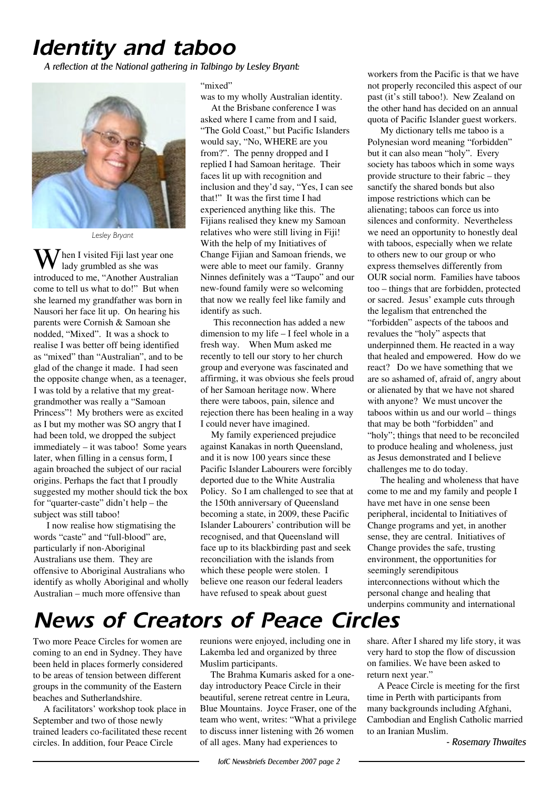### *Ide ntity and taboo*

*A re fle ction atth e Nationalgath e ring in Talbingo by Le sle y Bryant:*



*Le sle y Bryant*

W  $\int$ hen I visited Fiji last year one lady grumbled as she was introduced to me, "Another Australian come to tell us what to do!" But when she learned my grandfather was born in Nausori her face lit up. On hearing his parents were Cornish & Samoan she nodded, "Mixed". It was a shock to realise I was better off being identified as "mixed" than "Australian", and to be glad of the change it made. I had seen the opposite change when, as a teenager, I was told by a relative that my greatgrandmother was really a "Samoan Princess"! My brothers were as excited as I but my mother was SO angry that I had been told, we dropped the subject  $immediately - it was taboo! Some years$ later, when filling in a census form, I again broached the subject of our racial origins. Perhaps the fact that I proudly suggested my mother should tick the box for "quarter-caste" didn't help – the subject was still taboo!

I now realise how stigmatising the words "caste" and "full-blood" are, particularly if non-Aboriginal Australians use them. They are offensive to Aboriginal Australians who identify as wholly Aboriginal and wholly Australian – much more offensive than

#### "mixed"

was to my wholly Australian identity.

At the Brisbane conference I was asked where I came from and I said, "The Gold Coast," but Pacific Islanders would say, "No, WHERE are you from?". The penny dropped and I replied I had Samoan heritage. Their faces lit up with recognition and inclusion and they'd say, "Yes, I can see that!" It was the first time I had experienced anything like this. The Fijians realised they knew my Samoan relatives who were still living in Fiji! With the help of my Initiatives of Change Fijian and Samoan friends, we were able to meet our family. Granny Ninnes definitely was a "Taupo" and our new-found family were so welcoming that now we really feel like family and identify as such.

This reconnection has added a new dimension to my life  $-$  I feel whole in a fresh way. When Mum asked me recently to tell our story to her church group and everyone was fascinated and affirming, it was obvious she feels proud of her Samoan heritage now. Where there were taboos, pain, silence and rejection there has been healing in a way I could never have imagined.

My family experienced prejudice against Kanakas in north Queensland, and it is now 100 years since these Pacific Islander Labourers were forcibly deported due to the White Australia Policy. So I am challenged to see that at the 150th anniversary of Queensland becoming a state, in 2009, these Pacific Islander Labourers' contribution will be recognised, and that Queensland will face up to its blackbirding past and seek reconciliation with the islands from which these people were stolen. I believe one reason our federal leaders have refused to speak about guest

workers from the Pacific is that we have not properly reconciled this aspect of our past (it's still taboo!). New Zealand on the other hand has decided on an annual quota of Pacific Islander guest workers.

My dictionary tells me taboo is a Polynesian word meaning "forbidden" but it can also mean "holy". Every society has taboos which in some ways provide structure to their fabric  $-$  they sanctify the shared bonds but also impose restrictions which can be alienating; taboos can force us into silences and conformity. Nevertheless we need an opportunity to honestly deal with taboos, especially when we relate to others new to our group or who express themselves differently from OUR social norm. Families have taboos too – things that are forbidden, protected or sacred. Jesus' example cuts through the legalism that entrenched the "forbidden" aspects of the taboos and revalues the "holy" aspects that underpinned them. He reacted in a way that healed and empowered. How do we react? Do we have something that we are so ashamed of, afraid of, angry about or alienated by that we have not shared with anyone? We must uncover the taboos within us and our world  $-$  things that may be both "forbidden" and "holy"; things that need to be reconciled to produce healing and wholeness, just as Jesus demonstrated and I believe challenges me to do today.

The healing and wholeness that have come to me and my family and people I have met have in one sense been peripheral, incidental to Initiatives of Change programs and yet, in another sense, they are central. Initiatives of Change provides the safe, trusting environment, the opportunities for seemingly serendipitous interconnections without which the personal change and healing that underpins community and international

### *News of Creators of Peace Circles*

Two more Peace Circles for women are coming to an end in Sydney. They have been held in places formerly considered to be areas of tension between different groups in the community of the Eastern beaches and Sutherlandshire.

A facilitators' workshop took place in September and two of those newly trained leaders co-facilitated these recent circles. In addition, four Peace Circle

reunions were enjoyed, including one in Lakemba led and organized by three Muslim participants.

The Brahma Kumaris asked for a oneday introductory Peace Circle in their beautiful, serene retreat centre in Leura, Blue Mountains. Joyce Fraser, one of the team who went, writes: "What a privilege to discuss inner listening with 26 women of all ages. Many had experiences to

share. After I shared my life story, it was very hard to stop the flow of discussion on families. We have been asked to return next year."

A Peace Circle is meeting for the first time in Perth with participants from many backgrounds including Afghani, Cambodian and English Catholic married to an Iranian Muslim.

*- Ros e m ary Th w aite s*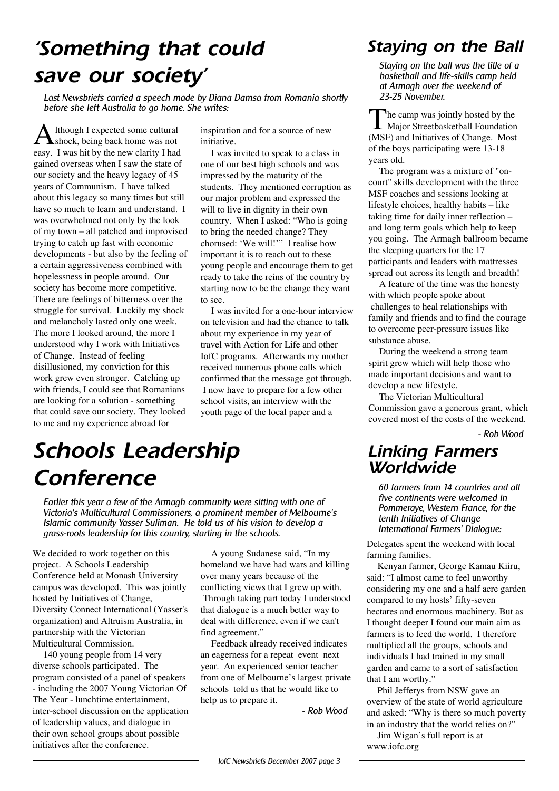## *'Something that could save our socie ty'*

Last Newsbriefs carried a speech made by Diana Damsa from Romania shortly *be fore s h e le ftAu stralia to go h om e . Sh e w rite s :*

A lthough I expected some cultural<br>shock, being back home was not lthough I expected some cultural easy. I was hit by the new clarity I had gained overseas when I saw the state of our society and the heavy legacy of 45 years of Communism. I have talked about this legacy so many times but still have so much to learn and understand. I was overwhelmed not only by the look of my town – all patched and improvised trying to catch up fast with economic developments - but also by the feeling of a certain aggressiveness combined with hopelessness in people around. Our society has become more competitive. There are feelings of bitterness over the struggle for survival. Luckily my shock and melancholy lasted only one week. The more I looked around, the more I understood why I work with Initiatives of Change. Instead of feeling disillusioned, my conviction for this work grew even stronger. Catching up with friends, I could see that Romanians are looking for a solution - something that could save our society. They looked to me and my experience abroad for

inspiration and for a source of new initiative.

I was invited to speak to a class in one of our best high schools and was impressed by the maturity of the students. They mentioned corruption as our major problem and expressed the will to live in dignity in their own country. When I asked: "Who is going to bring the needed change? They chorused: 'We will!'" I realise how important it is to reach out to these young people and encourage them to get ready to take the reins of the country by starting now to be the change they want to see.

I was invited for a one-hour interview on television and had the chance to talk about my experience in my year of travel with Action for Life and other IofC programs. Afterwards my mother received numerous phone calls which confirmed that the message got through. I now have to prepare for a few other school visits, an interview with the youth page of the local paper and a

## *Sch ools Le ade rsh ip*  $C$ *onference*

Earlier this year a few of the Armagh community were sitting with one of Victoria's Multicultural Commissioners, a prominent member of Melbourne's Islamic community Yasser Suliman. He told us of his vision to develop a *gras s - roots le ade rs h ip for th is country, starting in th e s ch ools.*

We decided to work together on this project. A Schools Leadership Conference held at Monash University campus was developed. This was jointly hosted by Initiatives of Change, Diversity Connect International (Yasser's organization) and Altruism Australia, in partnership with the Victorian Multicultural Commission.

140 young people from 14 very diverse schools participated. The program consisted of a panel of speakers - including the 2007 Young Victorian Of The Year - lunchtime entertainment, inter-school discussion on the application of leadership values, and dialogue in their own school groups about possible initiatives after the conference.

A young Sudanese said, "In my homeland we have had wars and killing over many years because of the conflicting views that I grew up with. Through taking part today I understood that dialogue is a much better way to deal with difference, even if we can't find agreement."

Feedback already received indicates an eagerness for a repeat event next year. An experienced senior teacher from one of Melbourne's largest private schools told us that he would like to help us to prepare it.

*- Rob W ood*

#### **Staying on the Ball**

*Staying on th e ballw as th e title ofa bas k e tballand life -s k ills cam p h e ld atArm agh ove r th e w e e k e nd of 23-25 Nove m be r.*

The camp was jointly hosted by the<br>Major Streetbasketball Foundation he camp was jointly hosted by the (MSF) and Initiatives of Change. Most of the boys participating were 13-18 years old.

The program was a mixture of "oncourt" skills development with the three MSF coaches and sessions looking at lifestyle choices, healthy habits  $-$  like taking time for daily inner reflection  $$ and long term goals which help to keep you going. The Armagh ballroom became the sleeping quarters for the 17 participants and leaders with mattresses spread out across its length and breadth!

A feature of the time was the honesty with which people spoke about challenges to heal relationships with family and friends and to find the courage to overcome peer-pressure issues like substance abuse.

During the weekend a strong team spirit grew which will help those who made important decisions and want to develop a new lifestyle.

The Victorian Multicultural Commission gave a generous grant, which covered most of the costs of the weekend.

*- Rob W ood*

#### *Linking Farmers W orldw ide*

*60 farm e rs from 14 countrie s and all five continents were welcomed in Pommeraye, Western France, for the*  $t$  *tenth Initiatives of Change Inte rnationalFarm e rs ' Dialogu e :*

Delegates spent the weekend with local farming families.

Kenyan farmer, George Kamau Kiiru, said: "I almost came to feel unworthy considering my one and a half acre garden compared to my hosts' fifty-seven hectares and enormous machinery. But as I thought deeper I found our main aim as farmers is to feed the world. I therefore multiplied all the groups, schools and individuals I had trained in my small garden and came to a sort of satisfaction that I am worthy."

Phil Jefferys from NSW gave an overview of the state of world agriculture and asked: "Why is there so much poverty in an industry that the world relies on?"

Jim Wigan's full report is at www.iofc.org